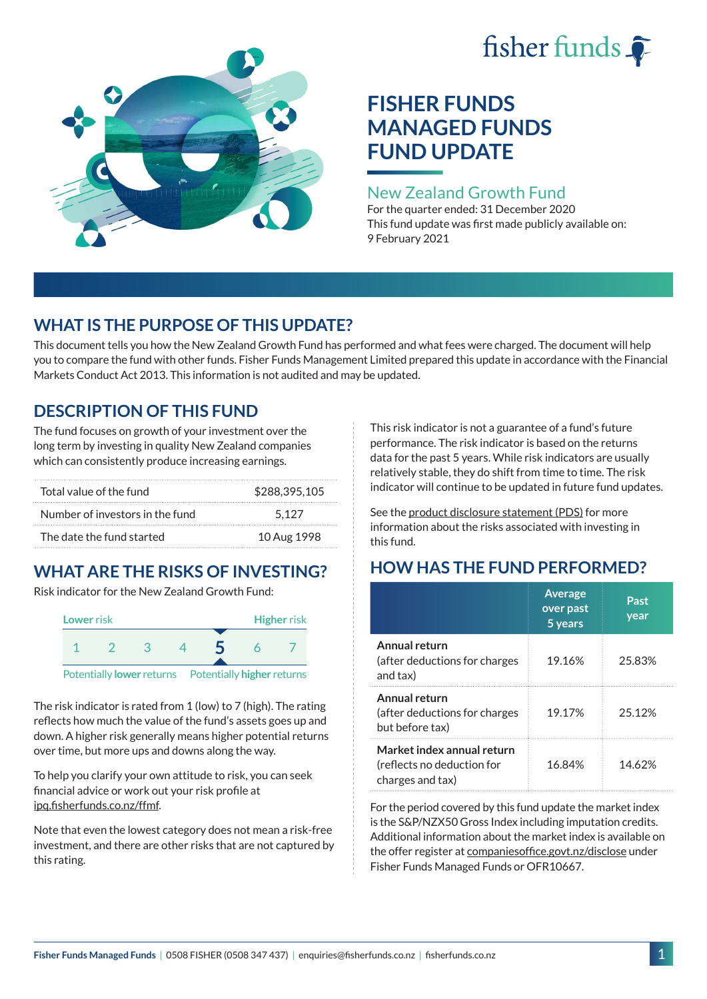# fisher funds  $\hat{\bullet}$



## **FISHER FUNDS MANAGED FUNDS FUND UPDATE**

## New Zealand Growth Fund

For the quarter ended: 31 December 2020 This fund update was first made publicly available on: 9 February 2021

## **WHAT IS THE PURPOSE OF THIS UPDATE?**

This document tells you how the New Zealand Growth Fund has performed and what fees were charged. The document will help you to compare the fund with other funds. Fisher Funds Management Limited prepared this update in accordance with the Financial Markets Conduct Act 2013. This information is not audited and may be updated.

## **DESCRIPTION OF THIS FUND**

The fund focuses on growth of your investment over the long term by investing in quality New Zealand companies which can consistently produce increasing earnings.

| Total value of the fund         | \$288,395,105 |
|---------------------------------|---------------|
| Number of investors in the fund | 5.127         |
| The date the fund started       | 10 Aug 1998   |

## **WHAT ARE THE RISKS OF INVESTING?**

Risk indicator for the New Zealand Growth Fund:



The risk indicator is rated from 1 (low) to 7 (high). The rating reflects how much the value of the fund's assets goes up and down. A higher risk generally means higher potential returns over time, but more ups and downs along the way.

To help you clarify your own attitude to risk, you can seek financial advice or work out your risk profile at [ipq.fisherfunds.co.nz/ffmf](https://ipq.fisherfunds.co.nz/ffmf).

Note that even the lowest category does not mean a risk-free investment, and there are other risks that are not captured by this rating.

This risk indicator is not a guarantee of a fund's future performance. The risk indicator is based on the returns data for the past 5 years. While risk indicators are usually relatively stable, they do shift from time to time. The risk indicator will continue to be updated in future fund updates.

See the [product disclosure statement \(PDS\)](https://fisherfunds.co.nz/assets/PDS/Fisher-Funds-Managed-Funds-PDS.pdf) for more information about the risks associated with investing in this fund.

## **HOW HAS THE FUND PERFORMED?**

|                                                                              | <b>Average</b><br>over past<br>5 years | Past<br>year |
|------------------------------------------------------------------------------|----------------------------------------|--------------|
| Annual return<br>(after deductions for charges<br>and tax)                   | 19.16%                                 | 25.83%       |
| Annual return<br>(after deductions for charges<br>but before tax)            | 19.17%                                 | 25.12%       |
| Market index annual return<br>(reflects no deduction for<br>charges and tax) | 16.84%                                 | 14.62%       |

For the period covered by this fund update the market index is the S&P/NZX50 Gross Index including imputation credits. Additional information about the market index is available on the offer register at [companiesoffice.govt.nz/disclose](http://companiesoffice.govt.nz/disclose) under Fisher Funds Managed Funds or OFR10667.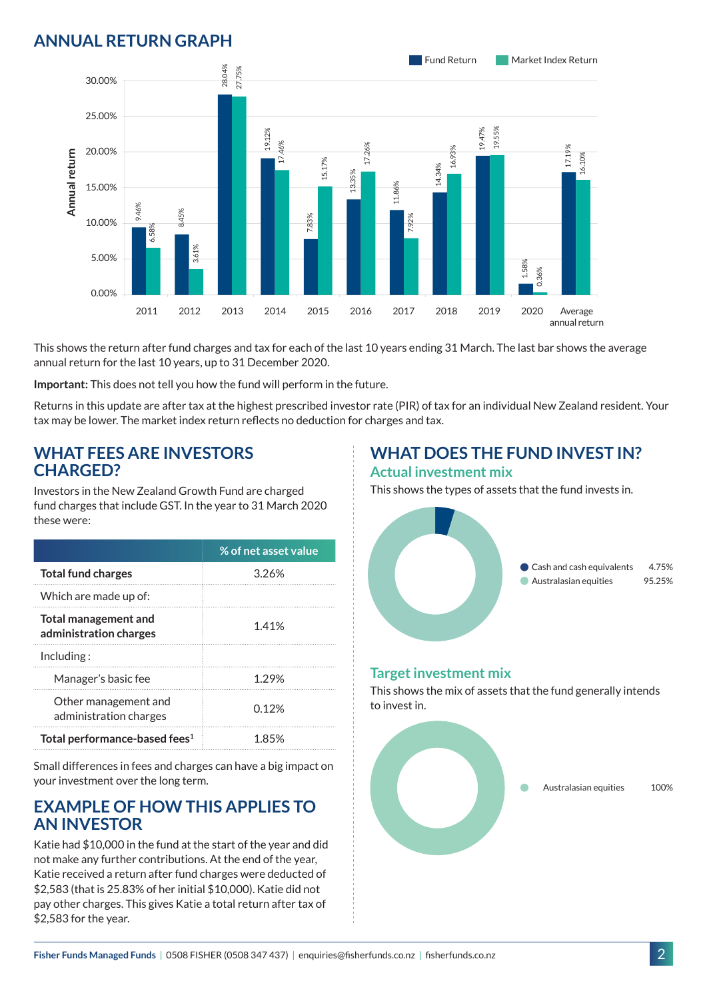## **ANNUAL RETURN GRAPH**



This shows the return after fund charges and tax for each of the last 10 years ending 31 March. The last bar shows the average annual return for the last 10 years, up to 31 December 2020.

**Important:** This does not tell you how the fund will perform in the future.

Returns in this update are after tax at the highest prescribed investor rate (PIR) of tax for an individual New Zealand resident. Your tax may be lower. The market index return reflects no deduction for charges and tax.

#### **WHAT FEES ARE INVESTORS CHARGED?**

Investors in the New Zealand Growth Fund are charged fund charges that include GST. In the year to 31 March 2020 these were:

|                                                | % of net asset value |
|------------------------------------------------|----------------------|
| <b>Total fund charges</b>                      | 3.26%                |
| Which are made up of:                          |                      |
| Total management and<br>administration charges | 1.41%                |
| Inding:                                        |                      |
| Manager's basic fee                            | 1.29%                |
| Other management and<br>administration charges | 0.12%                |
| Total performance-based fees <sup>1</sup>      | 1 85%                |

Small differences in fees and charges can have a big impact on your investment over the long term.

#### **EXAMPLE OF HOW THIS APPLIES TO AN INVESTOR**

Katie had \$10,000 in the fund at the start of the year and did not make any further contributions. At the end of the year, Katie received a return after fund charges were deducted of \$2,583 (that is 25.83% of her initial \$10,000). Katie did not pay other charges. This gives Katie a total return after tax of \$2,583 for the year.

#### **WHAT DOES THE FUND INVEST IN? Actual investment mix**

This shows the types of assets that the fund invests in.



#### **Target investment mix**

This shows the mix of assets that the fund generally intends to invest in.